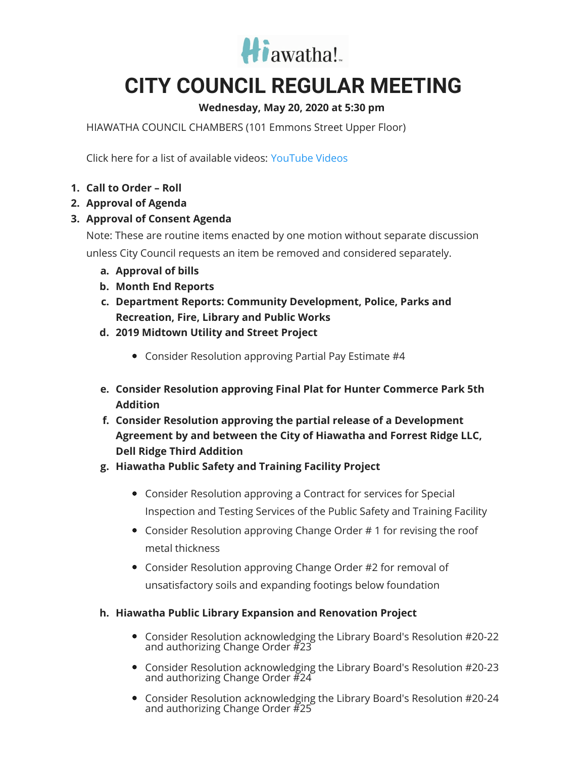

# **CITY COUNCIL REGULAR MEETING**

### **Wednesday, May 20, 2020 at 5:30 pm**

HIAWATHA COUNCIL CHAMBERS (101 Emmons Street Upper Floor)

Click here for a list of available videos: [YouTube](https://www.youtube.com/channel/UC3Vyub-x0FNe8YImqf5XsOQ) Videos

- **1. Call to Order – Roll**
- **2. Approval of Agenda**
- **3. Approval of Consent Agenda**

Note: These are routine items enacted by one motion without separate discussion unless City Council requests an item be removed and considered separately.

- **a. Approval of bills**
- **b. Month End Reports**
- **c. Department Reports: Community Development, Police, Parks and Recreation, Fire, Library and Public Works**
- **d. 2019 Midtown Utility and Street Project**
	- Consider Resolution approving Partial Pay Estimate #4
- **e. Consider Resolution approving Final Plat for Hunter Commerce Park 5th Addition**
- **f. Consider Resolution approving the partial release of a Development Agreement by and between the City of Hiawatha and Forrest Ridge LLC, Dell Ridge Third Addition**
- **g. Hiawatha Public Safety and Training Facility Project**
	- Consider Resolution approving a Contract for services for Special Inspection and Testing Services of the Public Safety and Training Facility
	- Consider Resolution approving Change Order # 1 for revising the roof metal thickness
	- Consider Resolution approving Change Order #2 for removal of unsatisfactory soils and expanding footings below foundation

#### **h. Hiawatha Public Library Expansion and Renovation Project**

- Consider Resolution acknowledging the Library Board's Resolution #20-22 and authorizing Change Order #23
- Consider Resolution acknowledging the Library Board's Resolution #20-23 and authorizing Change Order #24
- Consider Resolution acknowledging the Library Board's Resolution #20-24 and authorizing Change Order  $#25$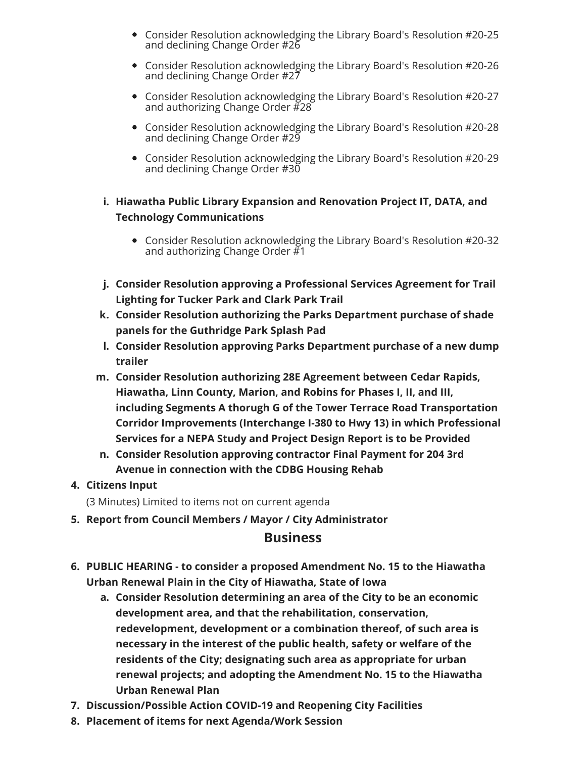- Consider Resolution acknowledging the Library Board's Resolution #20-25 and declining Change Order #26
- Consider Resolution acknowledging the Library Board's Resolution #20-26 and declining Change Order #27
- Consider Resolution acknowledging the Library Board's Resolution #20-27 and authorizing Change Order #28
- Consider Resolution acknowledging the Library Board's Resolution #20-28 and declining Change Order #29
- Consider Resolution acknowledging the Library Board's Resolution #20-29 and declining Change Order #30

#### **i. Hiawatha Public Library Expansion and Renovation Project IT, DATA, and Technology Communications**

- Consider Resolution acknowledging the Library Board's Resolution #20-32 and authorizing Change Order  $#1$
- **j. Consider Resolution approving a Professional Services Agreement for Trail Lighting for Tucker Park and Clark Park Trail**
- **k. Consider Resolution authorizing the Parks Department purchase of shade panels for the Guthridge Park Splash Pad**
- **l. Consider Resolution approving Parks Department purchase of a new dump trailer**
- **m. Consider Resolution authorizing 28E Agreement between Cedar Rapids, Hiawatha, Linn County, Marion, and Robins for Phases I, II, and III, including Segments A thorugh G of the Tower Terrace Road Transportation Corridor Improvements (Interchange I-380 to Hwy 13) in which Professional Services for a NEPA Study and Project Design Report is to be Provided**
- **n. Consider Resolution approving contractor Final Payment for 204 3rd Avenue in connection with the CDBG Housing Rehab**

#### **4. Citizens Input**

(3 Minutes) Limited to items not on current agenda

**5. Report from Council Members / Mayor / City Administrator**

#### **Business**

- **6. PUBLIC HEARING - to consider a proposed Amendment No. 15 to the Hiawatha Urban Renewal Plain in the City of Hiawatha, State of Iowa**
	- **a. Consider Resolution determining an area of the City to be an economic development area, and that the rehabilitation, conservation, redevelopment, development or a combination thereof, of such area is necessary in the interest of the public health, safety or welfare of the residents of the City; designating such area as appropriate for urban renewal projects; and adopting the Amendment No. 15 to the Hiawatha Urban Renewal Plan**
- **7. Discussion/Possible Action COVID-19 and Reopening City Facilities**
- **8. Placement of items for next Agenda/Work Session**